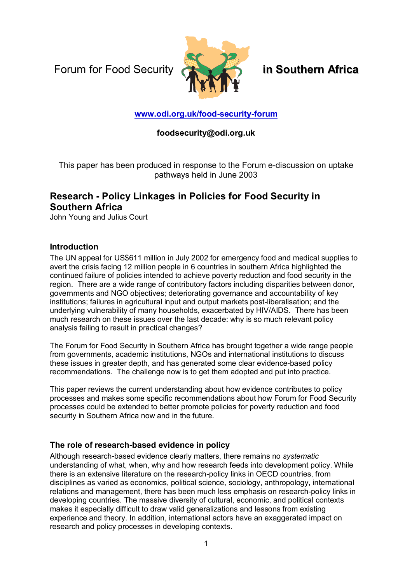Forum for Food Security **in Southern Africa**



# **www.odi.org.uk/food-security-forum**

# **foodsecurity@odi.org.uk**

This paper has been produced in response to the Forum e-discussion on uptake pathways held in June 2003

# **Research - Policy Linkages in Policies for Food Security in Southern Africa**

John Young and Julius Court

### **Introduction**

The UN appeal for US\$611 million in July 2002 for emergency food and medical supplies to avert the crisis facing 12 million people in 6 countries in southern Africa highlighted the continued failure of policies intended to achieve poverty reduction and food security in the region. There are a wide range of contributory factors including disparities between donor, governments and NGO objectives; deteriorating governance and accountability of key institutions; failures in agricultural input and output markets post-liberalisation; and the underlying vulnerability of many households, exacerbated by HIV/AIDS. There has been much research on these issues over the last decade: why is so much relevant policy analysis failing to result in practical changes?

The Forum for Food Security in Southern Africa has brought together a wide range people from governments, academic institutions, NGOs and international institutions to discuss these issues in greater depth, and has generated some clear evidence-based policy recommendations. The challenge now is to get them adopted and put into practice.

This paper reviews the current understanding about how evidence contributes to policy processes and makes some specific recommendations about how Forum for Food Security processes could be extended to better promote policies for poverty reduction and food security in Southern Africa now and in the future.

## **The role of research-based evidence in policy**

Although research-based evidence clearly matters, there remains no *systematic* understanding of what, when, why and how research feeds into development policy. While there is an extensive literature on the research-policy links in OECD countries, from disciplines as varied as economics, political science, sociology, anthropology, international relations and management, there has been much less emphasis on research-policy links in developing countries. The massive diversity of cultural, economic, and political contexts makes it especially difficult to draw valid generalizations and lessons from existing experience and theory. In addition, international actors have an exaggerated impact on research and policy processes in developing contexts.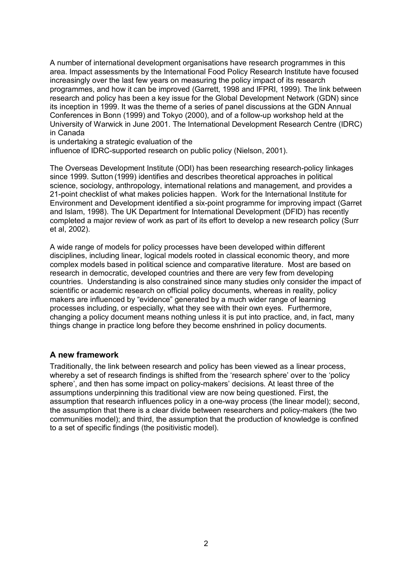A number of international development organisations have research programmes in this area. Impact assessments by the International Food Policy Research Institute have focused increasingly over the last few years on measuring the policy impact of its research programmes, and how it can be improved (Garrett, 1998 and IFPRI, 1999). The link between research and policy has been a key issue for the Global Development Network (GDN) since its inception in 1999. It was the theme of a series of panel discussions at the GDN Annual Conferences in Bonn (1999) and Tokyo (2000), and of a follow-up workshop held at the University of Warwick in June 2001. The International Development Research Centre (IDRC) in Canada

is undertaking a strategic evaluation of the

influence of IDRC-supported research on public policy (Nielson, 2001).

The Overseas Development Institute (ODI) has been researching research-policy linkages since 1999. Sutton (1999) identifies and describes theoretical approaches in political science, sociology, anthropology, international relations and management, and provides a 21-point checklist of what makes policies happen. Work for the International Institute for Environment and Development identified a six-point programme for improving impact (Garret and Islam, 1998). The UK Department for International Development (DFID) has recently completed a major review of work as part of its effort to develop a new research policy (Surr et al, 2002).

A wide range of models for policy processes have been developed within different disciplines, including linear, logical models rooted in classical economic theory, and more complex models based in political science and comparative literature. Most are based on research in democratic, developed countries and there are very few from developing countries. Understanding is also constrained since many studies only consider the impact of scientific or academic research on official policy documents, whereas in reality, policy makers are influenced by "evidence" generated by a much wider range of learning processes including, or especially, what they see with their own eyes. Furthermore, changing a policy document means nothing unless it is put into practice, and, in fact, many things change in practice long before they become enshrined in policy documents.

#### **A new framework**

Traditionally, the link between research and policy has been viewed as a linear process, whereby a set of research findings is shifted from the 'research sphere' over to the 'policy sphere<sup>'</sup>, and then has some impact on policy-makers' decisions. At least three of the assumptions underpinning this traditional view are now being questioned. First, the assumption that research influences policy in a one-way process (the linear model); second, the assumption that there is a clear divide between researchers and policy-makers (the two communities model); and third, the assumption that the production of knowledge is confined to a set of specific findings (the positivistic model).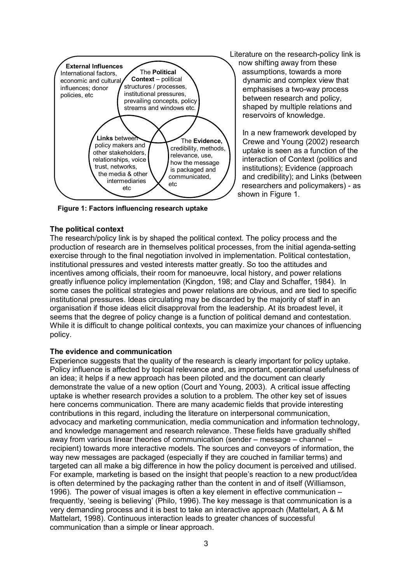

**Figure 1: Factors influencing research uptake** 

#### **The political context**

Literature on the research-policy link is now shifting away from these assumptions, towards a more dynamic and complex view that emphasises a two-way process between research and policy, shaped by multiple relations and reservoirs of knowledge.

In a new framework developed by Crewe and Young (2002) research uptake is seen as a function of the interaction of Context (politics and institutions); Evidence (approach and credibility); and Links (between researchers and policymakers) - as shown in Figure 1.

The research/policy link is by shaped the political context. The policy process and the production of research are in themselves political processes, from the initial agenda-setting exercise through to the final negotiation involved in implementation. Political contestation, institutional pressures and vested interests matter greatly. So too the attitudes and incentives among officials, their room for manoeuvre, local history, and power relations greatly influence policy implementation (Kingdon, 198; and Clay and Schaffer, 1984). In some cases the political strategies and power relations are obvious, and are tied to specific institutional pressures. Ideas circulating may be discarded by the majority of staff in an organisation if those ideas elicit disapproval from the leadership. At its broadest level, it seems that the degree of policy change is a function of political demand and contestation. While it is difficult to change political contexts, you can maximize your chances of influencing policy.

#### **The evidence and communication**

Experience suggests that the quality of the research is clearly important for policy uptake. Policy influence is affected by topical relevance and, as important, operational usefulness of an idea; it helps if a new approach has been piloted and the document can clearly demonstrate the value of a new option (Court and Young, 2003). A critical issue affecting uptake is whether research provides a solution to a problem. The other key set of issues here concerns communication. There are many academic fields that provide interesting contributions in this regard, including the literature on interpersonal communication, advocacy and marketing communication, media communication and information technology, and knowledge management and research relevance. These fields have gradually shifted away from various linear theories of communication (sender  $-$  message  $-$  channel  $$ recipient) towards more interactive models. The sources and conveyors of information, the way new messages are packaged (especially if they are couched in familiar terms) and targeted can all make a big difference in how the policy document is perceived and utilised. For example, marketing is based on the insight that people's reaction to a new product/idea is often determined by the packaging rather than the content in and of itself (Williamson, 1996). The power of visual images is often a key element in effective communication  $$ frequently, 'seeing is believing' (Philo, 1996). The key message is that communication is a very demanding process and it is best to take an interactive approach (Mattelart, A & M Mattelart, 1998). Continuous interaction leads to greater chances of successful communication than a simple or linear approach.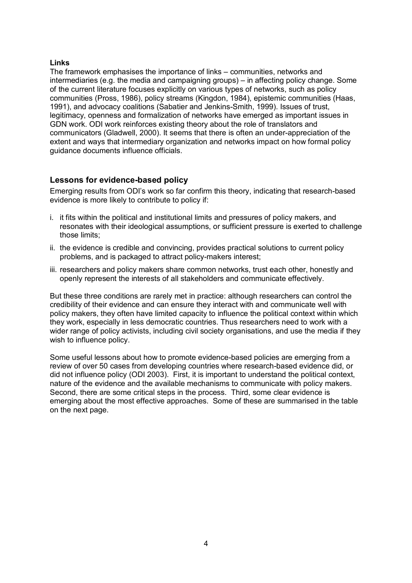#### **Links**

The framework emphasises the importance of links  $-$  communities, networks and intermediaries (e.g. the media and campaigning groups) – in affecting policy change. Some of the current literature focuses explicitly on various types of networks, such as policy communities (Pross, 1986), policy streams (Kingdon, 1984), epistemic communities (Haas, 1991), and advocacy coalitions (Sabatier and Jenkins-Smith, 1999). Issues of trust, legitimacy, openness and formalization of networks have emerged as important issues in GDN work. ODI work reinforces existing theory about the role of translators and communicators (Gladwell, 2000). It seems that there is often an under-appreciation of the extent and ways that intermediary organization and networks impact on how formal policy guidance documents influence officials.

# **Lessons for evidence-based policy**

Emerging results from ODIís work so far confirm this theory, indicating that research-based evidence is more likely to contribute to policy if:

- i. it fits within the political and institutional limits and pressures of policy makers, and resonates with their ideological assumptions, or sufficient pressure is exerted to challenge those limits;
- ii. the evidence is credible and convincing, provides practical solutions to current policy problems, and is packaged to attract policy-makers interest;
- iii. researchers and policy makers share common networks, trust each other, honestly and openly represent the interests of all stakeholders and communicate effectively.

But these three conditions are rarely met in practice: although researchers can control the credibility of their evidence and can ensure they interact with and communicate well with policy makers, they often have limited capacity to influence the political context within which they work, especially in less democratic countries. Thus researchers need to work with a wider range of policy activists, including civil society organisations, and use the media if they wish to influence policy.

Some useful lessons about how to promote evidence-based policies are emerging from a review of over 50 cases from developing countries where research-based evidence did, or did not influence policy (ODI 2003). First, it is important to understand the political context, nature of the evidence and the available mechanisms to communicate with policy makers. Second, there are some critical steps in the process. Third, some clear evidence is emerging about the most effective approaches. Some of these are summarised in the table on the next page.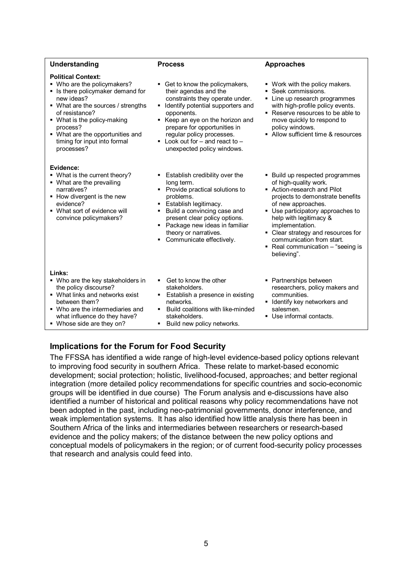| Understanding                                                                                                                                                                                                                                                                                    | <b>Process</b>                                                                                                                                                                                                                                                                                                                     | <b>Approaches</b>                                                                                                                                                                                                                                                                                                                                          |
|--------------------------------------------------------------------------------------------------------------------------------------------------------------------------------------------------------------------------------------------------------------------------------------------------|------------------------------------------------------------------------------------------------------------------------------------------------------------------------------------------------------------------------------------------------------------------------------------------------------------------------------------|------------------------------------------------------------------------------------------------------------------------------------------------------------------------------------------------------------------------------------------------------------------------------------------------------------------------------------------------------------|
| <b>Political Context:</b><br>• Who are the policymakers?<br>• Is there policymaker demand for<br>new ideas?<br>• What are the sources / strengths<br>of resistance?<br>• What is the policy-making<br>process?<br>• What are the opportunities and<br>timing for input into formal<br>processes? | Get to know the policymakers,<br>٠<br>their agendas and the<br>constraints they operate under.<br>Identify potential supporters and<br>٠<br>opponents.<br>Keep an eye on the horizon and<br>٠<br>prepare for opportunities in<br>regular policy processes.<br>Look out for $-$ and react to $-$<br>٠<br>unexpected policy windows. | • Work with the policy makers.<br>• Seek commissions.<br>• Line up research programmes<br>with high-profile policy events.<br>• Reserve resources to be able to<br>move quickly to respond to<br>policy windows.<br>• Allow sufficient time & resources                                                                                                    |
| Evidence:<br>• What is the current theory?<br>• What are the prevailing<br>narratives?<br>• How divergent is the new<br>evidence?<br>• What sort of evidence will<br>convince policymakers?                                                                                                      | Establish credibility over the<br>٠<br>long term.<br>Provide practical solutions to<br>٠<br>problems.<br>Establish legitimacy.<br>$\blacksquare$<br>Build a convincing case and<br>٠<br>present clear policy options.<br>Package new ideas in familiar<br>٠<br>theory or narratives.<br>Communicate effectively.<br>٠              | • Build up respected programmes<br>of high-quality work.<br>• Action-research and Pilot<br>projects to demonstrate benefits<br>of new approaches.<br>• Use participatory approaches to<br>help with legitimacy &<br>implementation.<br>• Clear strategy and resources for<br>communication from start.<br>• Real communication – "seeing is<br>believing". |
| Links:<br>• Who are the key stakeholders in<br>the policy discourse?<br>• What links and networks exist<br>between them?<br>• Who are the intermediaries and<br>what influence do they have?<br>• Whose side are they on?                                                                        | Get to know the other<br>٠<br>stakeholders.<br>Establish a presence in existing<br>٠<br>networks.<br>Build coalitions with like-minded<br>٠<br>stakeholders.<br>Build new policy networks.<br>٠                                                                                                                                    | • Partnerships between<br>researchers, policy makers and<br>communities.<br>• Identify key networkers and<br>salesmen.<br>• Use informal contacts.                                                                                                                                                                                                         |

## **Implications for the Forum for Food Security**

The FFSSA has identified a wide range of high-level evidence-based policy options relevant to improving food security in southern Africa. These relate to market-based economic development; social protection; holistic, livelihood-focused, approaches; and better regional integration (more detailed policy recommendations for specific countries and socio-economic groups will be identified in due course) The Forum analysis and e-discussions have also identified a number of historical and political reasons why policy recommendations have not been adopted in the past, including neo-patrimonial governments, donor interference, and weak implementation systems. It has also identified how little analysis there has been in Southern Africa of the links and intermediaries between researchers or research-based evidence and the policy makers; of the distance between the new policy options and conceptual models of policymakers in the region; or of current food-security policy processes that research and analysis could feed into.